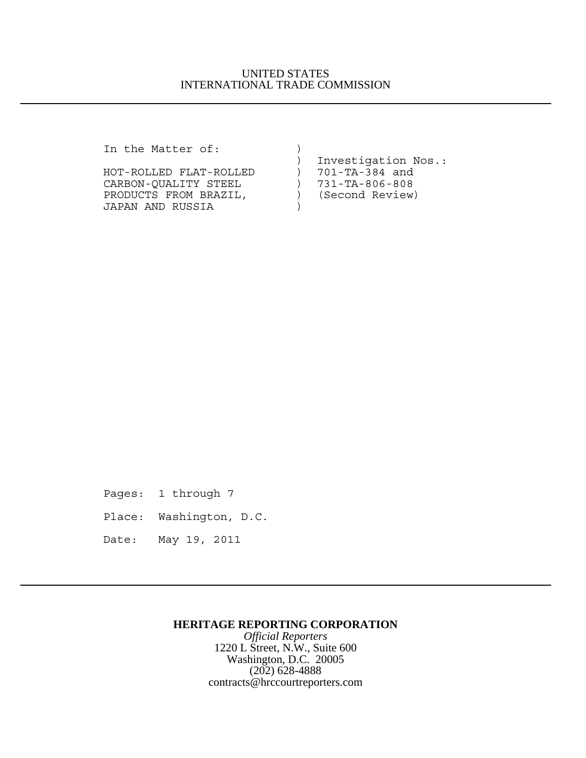## UNITED STATES INTERNATIONAL TRADE COMMISSION

In the Matter of: )

| Investigation Nos.: |
|---------------------|
| 701-TA-384 and      |
| 731-TA-806-808      |
| (Second Review)     |
|                     |
|                     |

Pages: 1 through 7

Place: Washington, D.C.

Date: May 19, 2011

## **HERITAGE REPORTING CORPORATION**

*Official Reporters* 1220 L Street, N.W., Suite 600 Washington, D.C. 20005 (202) 628-4888 contracts@hrccourtreporters.com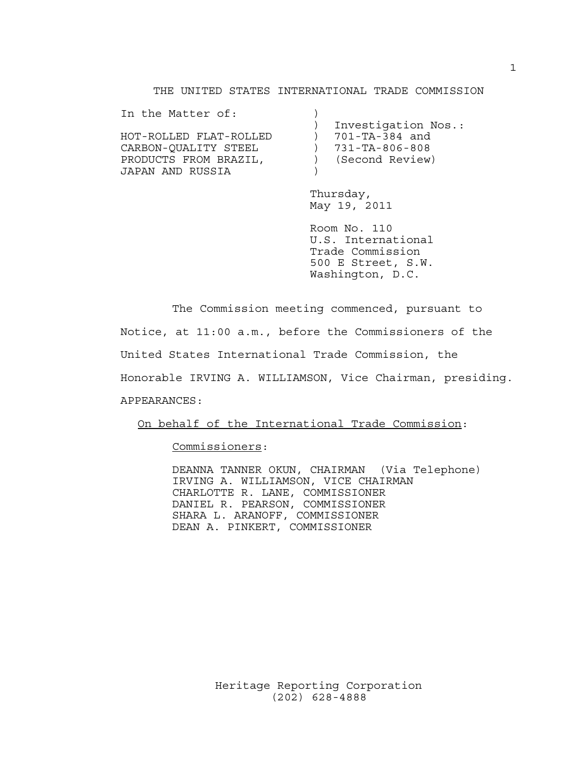#### THE UNITED STATES INTERNATIONAL TRADE COMMISSION

| Investigation Nos.: |
|---------------------|
| 701-TA-384 and      |
| 731-TA-806-808      |
| (Second Review)     |
|                     |
|                     |

Thursday, May 19, 2011

Room No. 110 U.S. International Trade Commission 500 E Street, S.W. Washington, D.C.

The Commission meeting commenced, pursuant to Notice, at 11:00 a.m., before the Commissioners of the United States International Trade Commission, the Honorable IRVING A. WILLIAMSON, Vice Chairman, presiding. APPEARANCES:

On behalf of the International Trade Commission:

Commissioners:

DEANNA TANNER OKUN, CHAIRMAN (Via Telephone) IRVING A. WILLIAMSON, VICE CHAIRMAN CHARLOTTE R. LANE, COMMISSIONER DANIEL R. PEARSON, COMMISSIONER SHARA L. ARANOFF, COMMISSIONER DEAN A. PINKERT, COMMISSIONER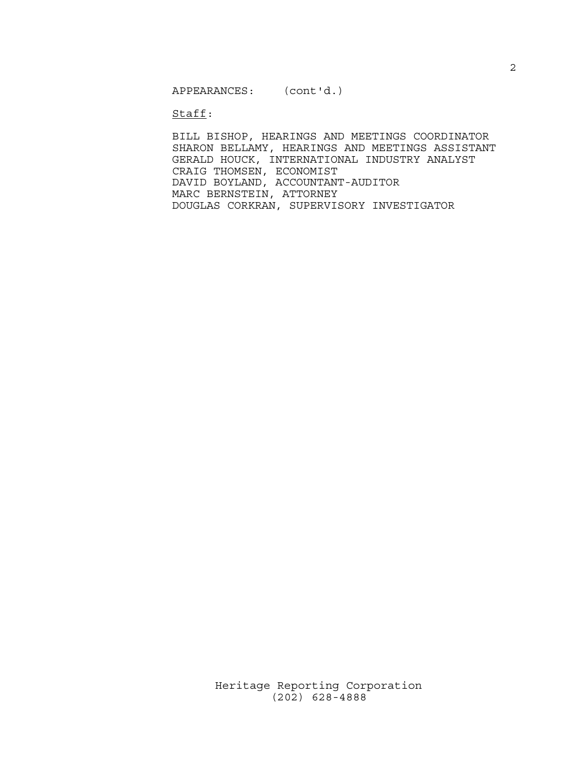APPEARANCES: (cont'd.)

Staff:

BILL BISHOP, HEARINGS AND MEETINGS COORDINATOR SHARON BELLAMY, HEARINGS AND MEETINGS ASSISTANT GERALD HOUCK, INTERNATIONAL INDUSTRY ANALYST CRAIG THOMSEN, ECONOMIST DAVID BOYLAND, ACCOUNTANT-AUDITOR MARC BERNSTEIN, ATTORNEY DOUGLAS CORKRAN, SUPERVISORY INVESTIGATOR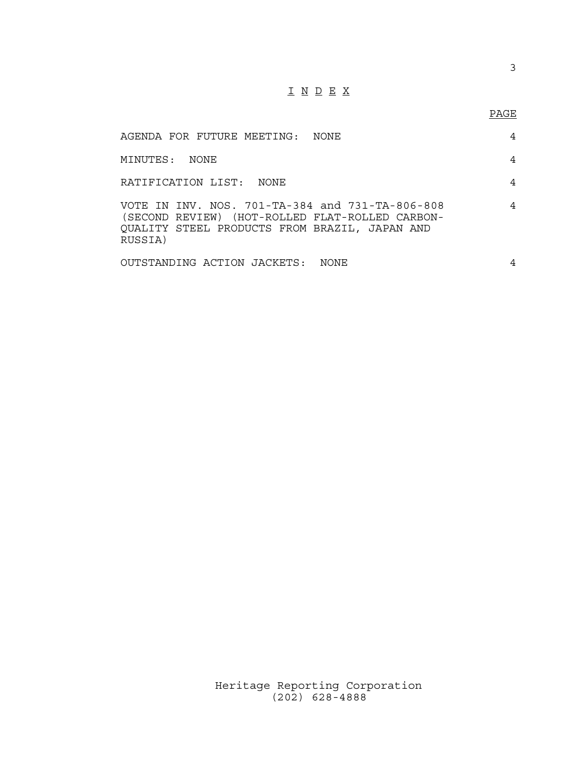# I N D E X

## PAGE

| AGENDA FOR FUTURE MEETING: NONE                                                                                                                                | 4 |
|----------------------------------------------------------------------------------------------------------------------------------------------------------------|---|
| MINUTES:<br>NONE.                                                                                                                                              | 4 |
| RATIFICATION LIST: NONE                                                                                                                                        | 4 |
| VOTE IN INV. NOS. 701-TA-384 and 731-TA-806-808<br>(SECOND REVIEW) (HOT-ROLLED FLAT-ROLLED CARBON-<br>QUALITY STEEL PRODUCTS FROM BRAZIL, JAPAN AND<br>RUSSIA) | 4 |
| OUTSTANDING ACTION JACKETS:<br>NONE.                                                                                                                           | 4 |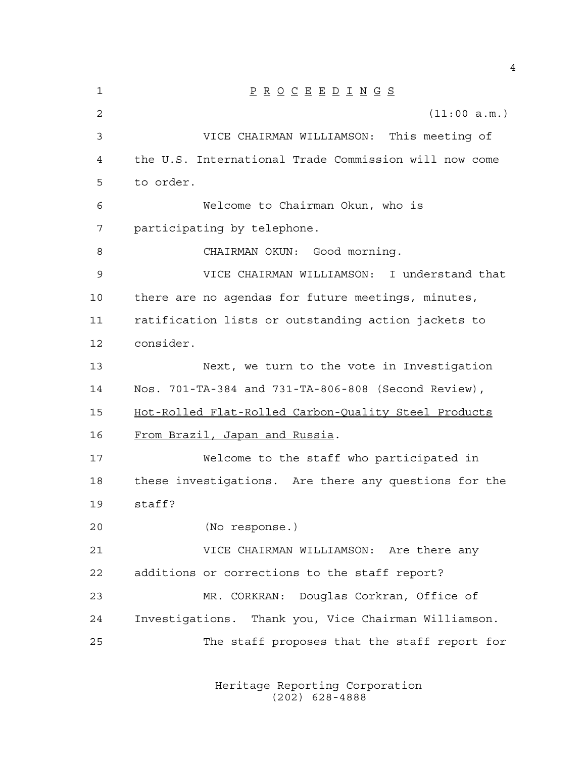P R O C E E D I N G S (11:00 a.m.) VICE CHAIRMAN WILLIAMSON: This meeting of the U.S. International Trade Commission will now come to order. Welcome to Chairman Okun, who is participating by telephone. 8 CHAIRMAN OKUN: Good morning. VICE CHAIRMAN WILLIAMSON: I understand that there are no agendas for future meetings, minutes, ratification lists or outstanding action jackets to consider. Next, we turn to the vote in Investigation Nos. 701-TA-384 and 731-TA-806-808 (Second Review), Hot-Rolled Flat-Rolled Carbon-Quality Steel Products From Brazil, Japan and Russia. Welcome to the staff who participated in these investigations. Are there any questions for the staff? (No response.) VICE CHAIRMAN WILLIAMSON: Are there any additions or corrections to the staff report? MR. CORKRAN: Douglas Corkran, Office of Investigations. Thank you, Vice Chairman Williamson. The staff proposes that the staff report for

> Heritage Reporting Corporation (202) 628-4888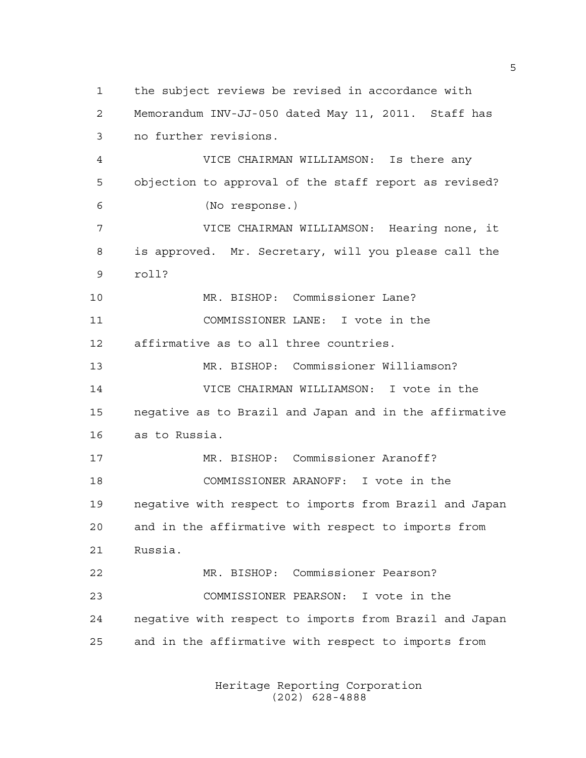the subject reviews be revised in accordance with Memorandum INV-JJ-050 dated May 11, 2011. Staff has no further revisions. VICE CHAIRMAN WILLIAMSON: Is there any objection to approval of the staff report as revised? (No response.) VICE CHAIRMAN WILLIAMSON: Hearing none, it is approved. Mr. Secretary, will you please call the roll? MR. BISHOP: Commissioner Lane? COMMISSIONER LANE: I vote in the affirmative as to all three countries. MR. BISHOP: Commissioner Williamson? VICE CHAIRMAN WILLIAMSON: I vote in the negative as to Brazil and Japan and in the affirmative as to Russia. MR. BISHOP: Commissioner Aranoff? COMMISSIONER ARANOFF: I vote in the negative with respect to imports from Brazil and Japan and in the affirmative with respect to imports from Russia. MR. BISHOP: Commissioner Pearson? COMMISSIONER PEARSON: I vote in the negative with respect to imports from Brazil and Japan and in the affirmative with respect to imports from

> Heritage Reporting Corporation (202) 628-4888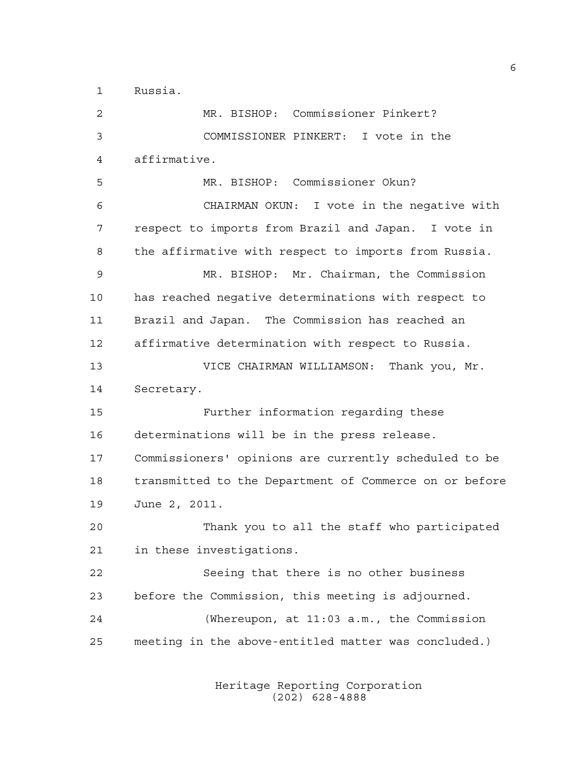Russia.

 MR. BISHOP: Commissioner Pinkert? COMMISSIONER PINKERT: I vote in the affirmative. MR. BISHOP: Commissioner Okun? CHAIRMAN OKUN: I vote in the negative with respect to imports from Brazil and Japan. I vote in the affirmative with respect to imports from Russia. MR. BISHOP: Mr. Chairman, the Commission has reached negative determinations with respect to Brazil and Japan. The Commission has reached an affirmative determination with respect to Russia. VICE CHAIRMAN WILLIAMSON: Thank you, Mr. Secretary. Further information regarding these determinations will be in the press release. Commissioners' opinions are currently scheduled to be transmitted to the Department of Commerce on or before June 2, 2011. Thank you to all the staff who participated in these investigations. Seeing that there is no other business before the Commission, this meeting is adjourned. (Whereupon, at 11:03 a.m., the Commission meeting in the above-entitled matter was concluded.)